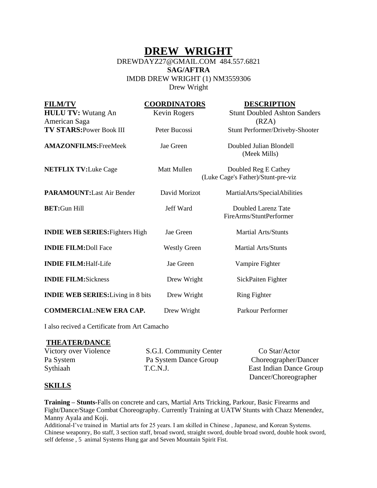## **DREW WRIGHT**

### DREWDAYZ27@GMAIL.COM 484.557.6821 **SAG/AFTRA**  IMDB DREW WRIGHT (1) NM3559306 Drew Wright

| <b>FILM/TV</b>                             | <b>COORDINATORS</b> | <b>DESCRIPTION</b>                             |
|--------------------------------------------|---------------------|------------------------------------------------|
| <b>HULU TV: Wutang An</b><br>American Saga | Kevin Rogers        | <b>Stunt Doubled Ashton Sanders</b><br>(RZA)   |
| <b>TV STARS: Power Book III</b>            | Peter Bucossi       | Stunt Performer/Driveby-Shooter                |
|                                            |                     |                                                |
| <b>AMAZONFILMS: FreeMeek</b>               | Jae Green           | Doubled Julian Blondell                        |
|                                            |                     | (Meek Mills)                                   |
| <b>NETFLIX TV: Luke Cage</b>               | <b>Matt Mullen</b>  | Doubled Reg E Cathey                           |
|                                            |                     | (Luke Cage's Father)/Stunt-pre-viz             |
|                                            |                     |                                                |
| <b>PARAMOUNT:</b> Last Air Bender          | David Morizot       | MartialArts/SpecialAbilities                   |
|                                            |                     |                                                |
| <b>BET:Gun Hill</b>                        | Jeff Ward           | Doubled Larenz Tate<br>FireArms/StuntPerformer |
|                                            |                     |                                                |
| <b>INDIE WEB SERIES: Fighters High</b>     | Jae Green           | <b>Martial Arts/Stunts</b>                     |
|                                            |                     |                                                |
| <b>INDIE FILM: Doll Face</b>               | <b>Westly Green</b> | <b>Martial Arts/Stunts</b>                     |
| <b>INDIE FILM: Half-Life</b>               | Jae Green           | Vampire Fighter                                |
|                                            |                     |                                                |
| <b>INDIE FILM:Sickness</b>                 | Drew Wright         | SickPaiten Fighter                             |
|                                            |                     |                                                |
| <b>INDIE WEB SERIES:</b> Living in 8 bits  | Drew Wright         | <b>Ring Fighter</b>                            |
| <b>COMMERCIAL:NEW ERA CAP.</b>             | Drew Wright         | Parkour Performer                              |
|                                            |                     |                                                |

I also recived a Certificate from Art Camacho

#### **THEATER/DANCE**

| Victory over Violence | S.G.I. Community Center | Co Star/Actor           |
|-----------------------|-------------------------|-------------------------|
| Pa System             | Pa System Dance Group   | Choreographer/Dancer    |
| Sythiaah              | T.C.N.J.                | East Indian Dance Group |
|                       |                         | Dancer/Choreographer    |

#### **SKILLS**

**Training – Stunts-**Falls on concrete and cars, Martial Arts Tricking, Parkour, Basic Firearms and Fight/Dance/Stage Combat Choreography. Currently Training at UATW Stunts with Chazz Menendez, Manny Ayala and Koji.

Additional-I've trained in Martial arts for 25 years. I am skilled in Chinese , Japanese, and Korean Systems. Chinese weaponry, Bo staff, 3 section staff, broad sword, straight sword, double broad sword, double hook sword, self defense , 5 animal Systems Hung gar and Seven Mountain Spirit Fist.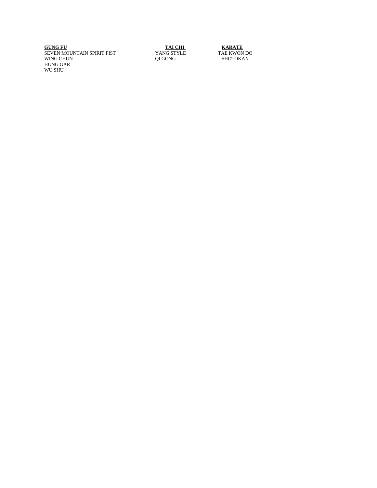**GUNG FU GUNG TAI CHI KARATE** SEVEN MOUNTAIN SPIRIT FIST **YANG STYLE** TAE KWON DO WING CHUN GUNG CHUN GUNG GONG SHOTOKAN HUNG GAR WU SHU